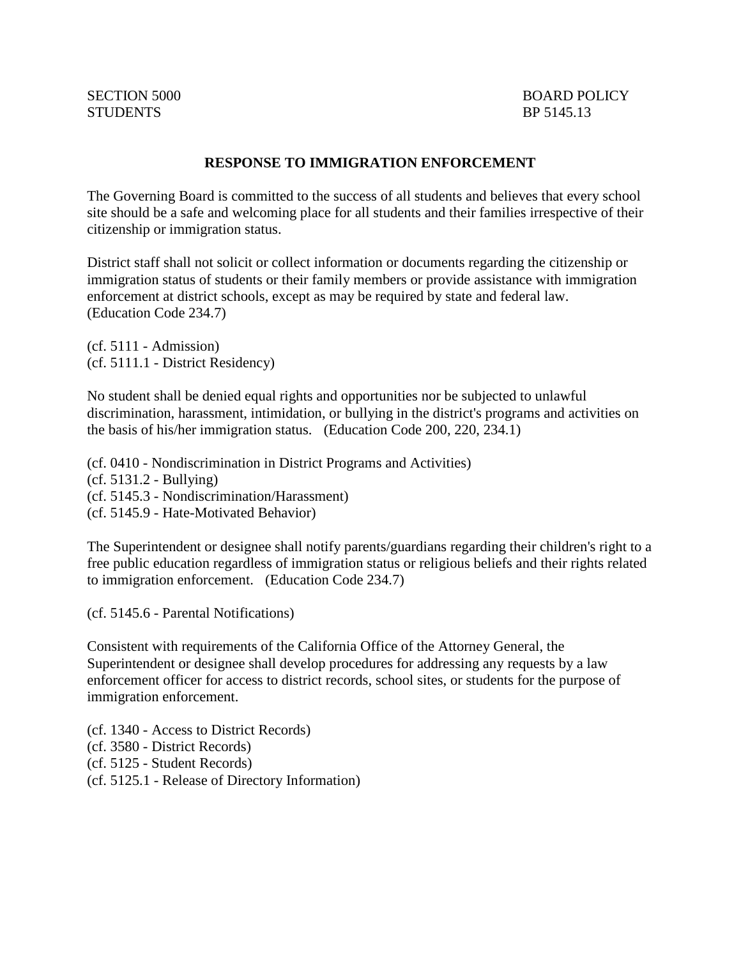## **RESPONSE TO IMMIGRATION ENFORCEMENT**

The Governing Board is committed to the success of all students and believes that every school site should be a safe and welcoming place for all students and their families irrespective of their citizenship or immigration status.

District staff shall not solicit or collect information or documents regarding the citizenship or immigration status of students or their family members or provide assistance with immigration enforcement at district schools, except as may be required by state and federal law. (Education Code 234.7)

(cf. 5111 - Admission) (cf. 5111.1 - District Residency)

No student shall be denied equal rights and opportunities nor be subjected to unlawful discrimination, harassment, intimidation, or bullying in the district's programs and activities on the basis of his/her immigration status. (Education Code 200, 220, 234.1)

(cf. 0410 - Nondiscrimination in District Programs and Activities) (cf. 5131.2 - Bullying) (cf. 5145.3 - Nondiscrimination/Harassment) (cf. 5145.9 - Hate-Motivated Behavior)

The Superintendent or designee shall notify parents/guardians regarding their children's right to a free public education regardless of immigration status or religious beliefs and their rights related to immigration enforcement. (Education Code 234.7)

(cf. 5145.6 - Parental Notifications)

Consistent with requirements of the California Office of the Attorney General, the Superintendent or designee shall develop procedures for addressing any requests by a law enforcement officer for access to district records, school sites, or students for the purpose of immigration enforcement.

(cf. 1340 - Access to District Records) (cf. 3580 - District Records) (cf. 5125 - Student Records) (cf. 5125.1 - Release of Directory Information)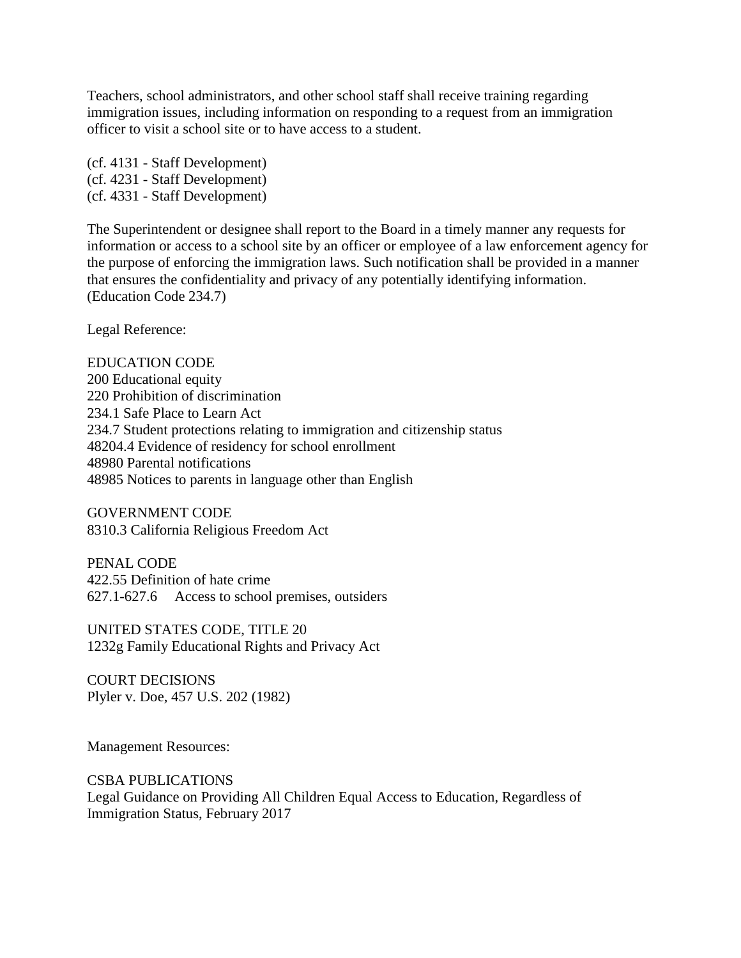Teachers, school administrators, and other school staff shall receive training regarding immigration issues, including information on responding to a request from an immigration officer to visit a school site or to have access to a student.

(cf. 4131 - Staff Development) (cf. 4231 - Staff Development) (cf. 4331 - Staff Development)

The Superintendent or designee shall report to the Board in a timely manner any requests for information or access to a school site by an officer or employee of a law enforcement agency for the purpose of enforcing the immigration laws. Such notification shall be provided in a manner that ensures the confidentiality and privacy of any potentially identifying information. (Education Code 234.7)

Legal Reference:

EDUCATION CODE 200 Educational equity 220 Prohibition of discrimination 234.1 Safe Place to Learn Act 234.7 Student protections relating to immigration and citizenship status 48204.4 Evidence of residency for school enrollment 48980 Parental notifications 48985 Notices to parents in language other than English

GOVERNMENT CODE 8310.3 California Religious Freedom Act

PENAL CODE 422.55 Definition of hate crime 627.1-627.6 Access to school premises, outsiders

UNITED STATES CODE, TITLE 20 1232g Family Educational Rights and Privacy Act

COURT DECISIONS Plyler v. Doe, 457 U.S. 202 (1982)

Management Resources:

CSBA PUBLICATIONS Legal Guidance on Providing All Children Equal Access to Education, Regardless of Immigration Status, February 2017